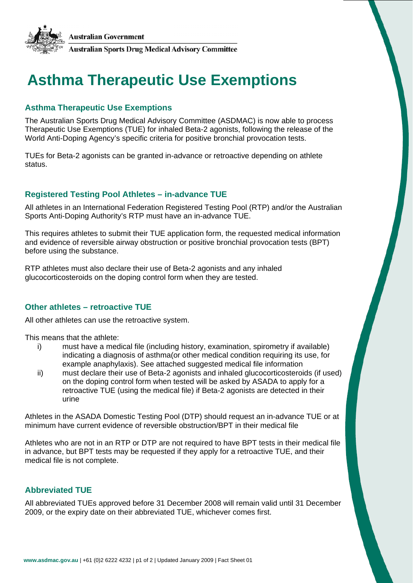

# **Asthma Therapeutic Use Exemptions**

## **Asthma Therapeutic Use Exemptions**

The Australian Sports Drug Medical Advisory Committee (ASDMAC) is now able to process Therapeutic Use Exemptions (TUE) for inhaled Beta-2 agonists, following the release of the World Anti-Doping Agency's specific criteria for positive bronchial provocation tests.

TUEs for Beta-2 agonists can be granted in-advance or retroactive depending on athlete status.

## **Registered Testing Pool Athletes – in-advance TUE**

All athletes in an International Federation Registered Testing Pool (RTP) and/or the Australian Sports Anti-Doping Authority's RTP must have an in-advance TUE.

This requires athletes to submit their TUE application form, the requested medical information and evidence of reversible airway obstruction or positive bronchial provocation tests (BPT) before using the substance.

RTP athletes must also declare their use of Beta-2 agonists and any inhaled glucocorticosteroids on the doping control form when they are tested.

## **Other athletes – retroactive TUE**

All other athletes can use the retroactive system.

This means that the athlete:

- i) must have a medical file (including history, examination, spirometry if available) indicating a diagnosis of asthma(or other medical condition requiring its use, for example anaphylaxis). See attached suggested medical file information
- ii) must declare their use of Beta-2 agonists and inhaled glucocorticosteroids (if used) on the doping control form when tested will be asked by ASADA to apply for a retroactive TUE (using the medical file) if Beta-2 agonists are detected in their urine

Athletes in the ASADA Domestic Testing Pool (DTP) should request an in-advance TUE or at minimum have current evidence of reversible obstruction/BPT in their medical file

Athletes who are not in an RTP or DTP are not required to have BPT tests in their medical file in advance, but BPT tests may be requested if they apply for a retroactive TUE, and their medical file is not complete.

## **Abbreviated TUE**

All abbreviated TUEs approved before 31 December 2008 will remain valid until 31 December 2009, or the expiry date on their abbreviated TUE, whichever comes first.